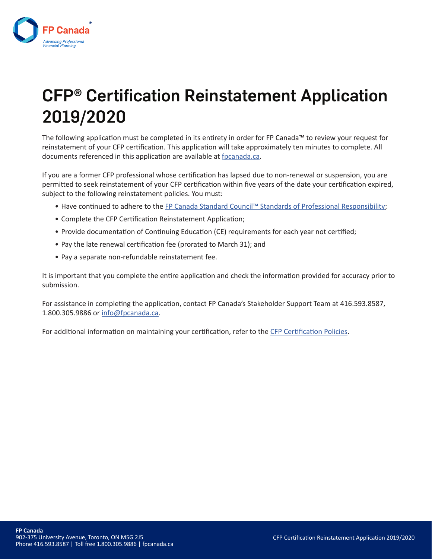

# CFP® Certification Reinstatement Application 2019/2020

The following application must be completed in its entirety in order for FP Canada™ to review your request for reinstatement of your CFP certification. This application will take approximately ten minutes to complete. All documents referenced in this application are available at fpcanada.ca.

If you are a former CFP professional whose certification has lapsed due to non-renewal or suspension, you are permitted to seek reinstatement of your CFP certification within five years of the date your certification expired, subject to the following reinstatement policies. You must:

- Have continued to adhere to the FP Canada Standard Council™ Standards of Professional Responsibility;
- Complete the CFP Certification Reinstatement Application;
- Provide documentation of Continuing Education (CE) requirements for each year not certified;
- Pay the late renewal certification fee (prorated to March 31); and
- Pay a separate non-refundable reinstatement fee.

It is important that you complete the entire application and check the information provided for accuracy prior to submission.

For assistance in completing the application, contact FP Canada's Stakeholder Support Team at 416.593.8587, 1.800.305.9886 or info@fpcanada.ca.

For additional information on maintaining your certification, refer to the CFP Certification Policies.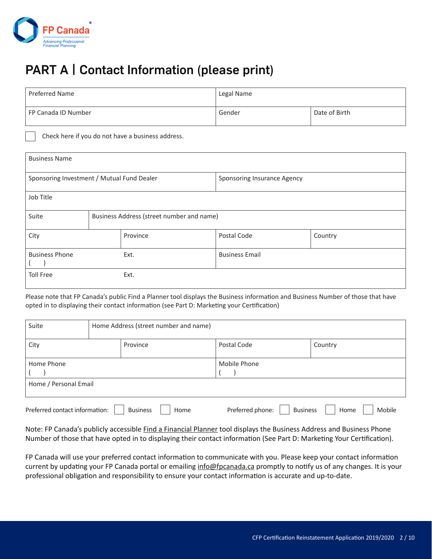

# PART A | Contact Information (please print)

| Preferred Name      | Legal Name |               |
|---------------------|------------|---------------|
| FP Canada ID Number | Gender     | Date of Birth |

Check here if you do not have a business address.

| <b>Business Name</b>                       |                                           |          |                             |         |
|--------------------------------------------|-------------------------------------------|----------|-----------------------------|---------|
| Sponsoring Investment / Mutual Fund Dealer |                                           |          | Sponsoring Insurance Agency |         |
| Job Title                                  |                                           |          |                             |         |
| Suite                                      | Business Address (street number and name) |          |                             |         |
| City                                       |                                           | Province | Postal Code                 | Country |
| <b>Business Phone</b>                      |                                           | Ext.     | <b>Business Email</b>       |         |
| <b>Toll Free</b>                           |                                           | Ext.     |                             |         |

Please note that FP Canada's public Find a Planner tool displays the Business information and Business Number of those that have opted in to displaying their contact information (see Part D: Marketing your Certification)

| Suite                                                     |  | Home Address (street number and name) |                                     |                |         |  |
|-----------------------------------------------------------|--|---------------------------------------|-------------------------------------|----------------|---------|--|
| City<br>Province                                          |  |                                       |                                     | Postal Code    | Country |  |
| Home Phone                                                |  |                                       |                                     | Mobile Phone   |         |  |
| Home / Personal Email                                     |  |                                       |                                     |                |         |  |
| Preferred contact information:<br><b>Business</b><br>Home |  |                                       | Preferred phone:<br><b>Business</b> | Mobile<br>Home |         |  |

Note: FP Canada's publicly accessible Find a Financial Planner tool displays the Business Address and Business Phone Number of those that have opted in to displaying their contact information (See Part D: Marketing Your Certification).

FP Canada will use your preferred contact information to communicate with you. Please keep your contact information current by updating your FP Canada portal or emailing info@fpcanada.ca promptly to notify us of any changes. It is your professional obligation and responsibility to ensure your contact information is accurate and up-to-date.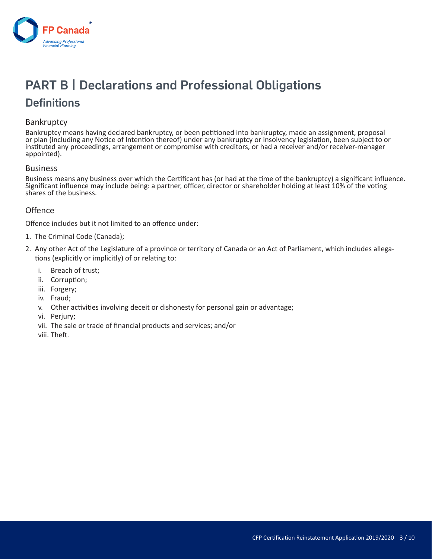

# **PART B | Declarations and Professional Obligations**

#### **Definitions**

#### **Bankruptcy**

Bankruptcy means having declared bankruptcy, or been petitioned into bankruptcy, made an assignment, proposal or plan (including any Notice of Intention thereof) under any bankruptcy or insolvency legislation, been subject to or instituted any proceedings, arrangement or compromise with creditors, or had a receiver and/or receiver-manager appointed).

#### Business

Business means any business over which the Certificant has (or had at the time of the bankruptcy) a significant influence. Significant influence may include being: a partner, officer, director or shareholder holding at least 10% of the voting shares of the business.

#### **Offence**

Offence includes but it not limited to an offence under:

- 1. The Criminal Code (Canada);
- 2. Any other Act of the Legislature of a province or territory of Canada or an Act of Parliament, which includes allegations (explicitly or implicitly) of or relating to:
	- i. Breach of trust;
	- ii. Corruption;
	- iii. Forgery;
	- iv. Fraud;
	- v. Other activities involving deceit or dishonesty for personal gain or advantage;
	- vi. Perjury;
	- vii. The sale or trade of financial products and services; and/or
	- viii. Theft.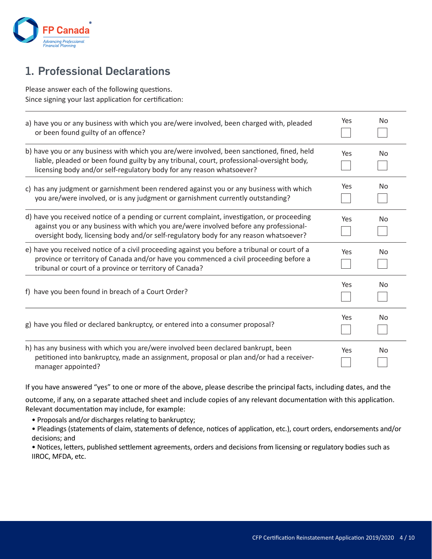

### 1. Professional Declarations

Please answer each of the following questions. Since signing your last application for certification:

| a) have you or any business with which you are/were involved, been charged with, pleaded<br>or been found guilty of an offence?                                                                                                                                               | Yes | No        |
|-------------------------------------------------------------------------------------------------------------------------------------------------------------------------------------------------------------------------------------------------------------------------------|-----|-----------|
| b) have you or any business with which you are/were involved, been sanctioned, fined, held<br>liable, pleaded or been found guilty by any tribunal, court, professional-oversight body,<br>licensing body and/or self-regulatory body for any reason whatsoever?              | Yes | No        |
| c) has any judgment or garnishment been rendered against you or any business with which<br>you are/were involved, or is any judgment or garnishment currently outstanding?                                                                                                    | Yes | No        |
| d) have you received notice of a pending or current complaint, investigation, or proceeding<br>against you or any business with which you are/were involved before any professional-<br>oversight body, licensing body and/or self-regulatory body for any reason whatsoever? | Yes | <b>No</b> |
| e) have you received notice of a civil proceeding against you before a tribunal or court of a<br>province or territory of Canada and/or have you commenced a civil proceeding before a<br>tribunal or court of a province or territory of Canada?                             | Yes | <b>No</b> |
| f) have you been found in breach of a Court Order?                                                                                                                                                                                                                            | Yes | No        |
| g) have you filed or declared bankruptcy, or entered into a consumer proposal?                                                                                                                                                                                                | Yes | No        |
| h) has any business with which you are/were involved been declared bankrupt, been<br>petitioned into bankruptcy, made an assignment, proposal or plan and/or had a receiver-<br>manager appointed?                                                                            | Yes | No        |

If you have answered "yes" to one or more of the above, please describe the principal facts, including dates, and the

outcome, if any, on a separate attached sheet and include copies of any relevant documentation with this application. Relevant documentation may include, for example:

• Proposals and/or discharges relating to bankruptcy;

• Pleadings (statements of claim, statements of defence, notices of application, etc.), court orders, endorsements and/or decisions; and

• Notices, letters, published settlement agreements, orders and decisions from licensing or regulatory bodies such as IIROC, MFDA, etc.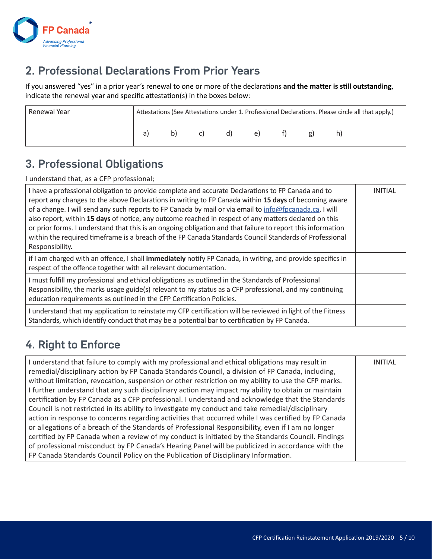

### 2. Professional Declarations From Prior Years

If you answered "yes" in a prior year's renewal to one or more of the declarations **and the matter is still outstanding**, indicate the renewal year and specific attestation(s) in the boxes below:

| Renewal Year |    |    |    |  | Attestations (See Attestations under 1. Professional Declarations. Please circle all that apply.) |
|--------------|----|----|----|--|---------------------------------------------------------------------------------------------------|
|              | b) | d) | e) |  |                                                                                                   |

#### 3. Professional Obligations

I understand that, as a CFP professional;

| I have a professional obligation to provide complete and accurate Declarations to FP Canada and to<br>report any changes to the above Declarations in writing to FP Canada within 15 days of becoming aware<br>of a change. I will send any such reports to FP Canada by mail or via email to info@fpcanada.ca. I will<br>also report, within 15 days of notice, any outcome reached in respect of any matters declared on this<br>or prior forms. I understand that this is an ongoing obligation and that failure to report this information<br>within the required timeframe is a breach of the FP Canada Standards Council Standards of Professional<br>Responsibility. | <b>INITIAL</b> |
|-----------------------------------------------------------------------------------------------------------------------------------------------------------------------------------------------------------------------------------------------------------------------------------------------------------------------------------------------------------------------------------------------------------------------------------------------------------------------------------------------------------------------------------------------------------------------------------------------------------------------------------------------------------------------------|----------------|
| if I am charged with an offence, I shall immediately notify FP Canada, in writing, and provide specifics in<br>respect of the offence together with all relevant documentation.                                                                                                                                                                                                                                                                                                                                                                                                                                                                                             |                |
| I must fulfill my professional and ethical obligations as outlined in the Standards of Professional<br>Responsibility, the marks usage guide(s) relevant to my status as a CFP professional, and my continuing<br>education requirements as outlined in the CFP Certification Policies.                                                                                                                                                                                                                                                                                                                                                                                     |                |
| I understand that my application to reinstate my CFP certification will be reviewed in light of the Fitness<br>Standards, which identify conduct that may be a potential bar to certification by FP Canada.                                                                                                                                                                                                                                                                                                                                                                                                                                                                 |                |

### 4. Right to Enforce

| I understand that failure to comply with my professional and ethical obligations may result in<br>remedial/disciplinary action by FP Canada Standards Council, a division of FP Canada, including,<br>without limitation, revocation, suspension or other restriction on my ability to use the CFP marks.<br>I further understand that any such disciplinary action may impact my ability to obtain or maintain<br>certification by FP Canada as a CFP professional. I understand and acknowledge that the Standards | <b>INITIAL</b> |
|----------------------------------------------------------------------------------------------------------------------------------------------------------------------------------------------------------------------------------------------------------------------------------------------------------------------------------------------------------------------------------------------------------------------------------------------------------------------------------------------------------------------|----------------|
| Council is not restricted in its ability to investigate my conduct and take remedial/disciplinary<br>action in response to concerns regarding activities that occurred while I was certified by FP Canada                                                                                                                                                                                                                                                                                                            |                |
| or allegations of a breach of the Standards of Professional Responsibility, even if I am no longer                                                                                                                                                                                                                                                                                                                                                                                                                   |                |
| certified by FP Canada when a review of my conduct is initiated by the Standards Council. Findings                                                                                                                                                                                                                                                                                                                                                                                                                   |                |
| of professional misconduct by FP Canada's Hearing Panel will be publicized in accordance with the                                                                                                                                                                                                                                                                                                                                                                                                                    |                |
| FP Canada Standards Council Policy on the Publication of Disciplinary Information.                                                                                                                                                                                                                                                                                                                                                                                                                                   |                |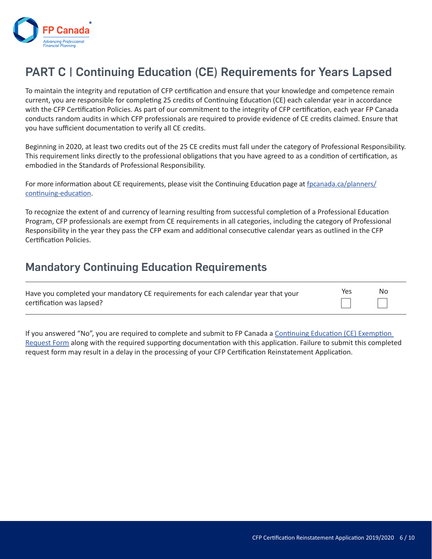

## PART C | Continuing Education (CE) Requirements for Years Lapsed

To maintain the integrity and reputation of CFP certification and ensure that your knowledge and competence remain current, you are responsible for completing 25 credits of Continuing Education (CE) each calendar year in accordance with the CFP Certification Policies. As part of our commitment to the integrity of CFP certification, each year FP Canada conducts random audits in which CFP professionals are required to provide evidence of CE credits claimed. Ensure that you have sufficient documentation to verify all CE credits.

Beginning in 2020, at least two credits out of the 25 CE credits must fall under the category of Professional Responsibility. This requirement links directly to the professional obligations that you have agreed to as a condition of certification, as embodied in the Standards of Professional Responsibility.

For more information about CE requirements, please visit the Continuing Education page at fpcanada.ca/planners/ continuing-education.

To recognize the extent of and currency of learning resulting from successful completion of a Professional Education Program, CFP professionals are exempt from CE requirements in all categories, including the category of Professional Responsibility in the year they pass the CFP exam and additional consecutive calendar years as outlined in the CFP Certification Policies.

#### Mandatory Continuing Education Requirements

| Have you completed your mandatory CE requirements for each calendar year that your | Yes | -No |
|------------------------------------------------------------------------------------|-----|-----|
| certification was lapsed?                                                          |     |     |

If you answered "No", you are required to complete and submit to FP Canada a Continuing Education (CE) Exemption Request Form along with the required supporting documentation with this application. Failure to submit this completed request form may result in a delay in the processing of your CFP Certification Reinstatement Application.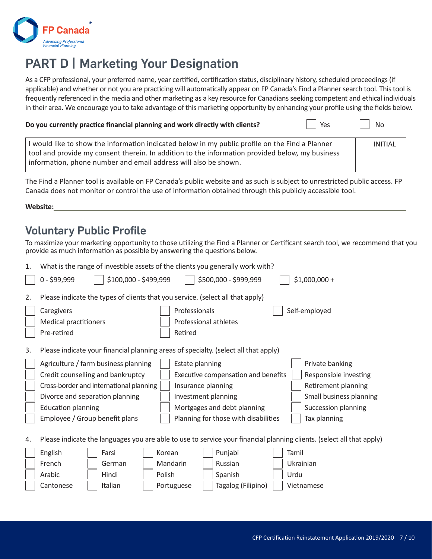

# PART D | Marketing Your Designation

As a CFP professional, your preferred name, year certified, certification status, disciplinary history, scheduled proceedings (if applicable) and whether or not you are practicing will automatically appear on FP Canada's Find a Planner search tool. This tool is frequently referenced in the media and other marketing as a key resource for Canadians seeking competent and ethical individuals in their area. We encourage you to take advantage of this marketing opportunity by enhancing your profile using the fields below.

| Do you currently practice financial planning and work directly with clients?                                                                                                                       | Yes | No             |
|----------------------------------------------------------------------------------------------------------------------------------------------------------------------------------------------------|-----|----------------|
| I would like to show the information indicated below in my public profile on the Find a Planner<br>tool and provide my consent therein. In addition to the information provided below, my business |     | <b>INITIAL</b> |
| information, phone number and email address will also be shown.                                                                                                                                    |     |                |

The Find a Planner tool is available on FP Canada's public website and as such is subject to unrestricted public access. FP Canada does not monitor or control the use of information obtained through this publicly accessible tool.

**Website:**

#### Voluntary Public Profile

To maximize your marketing opportunity to those utilizing the Find a Planner or Certificant search tool, we recommend that you provide as much information as possible by answering the questions below.

| 1. | What is the range of investible assets of the clients you generally work with?                                        |                                      |       |                         |
|----|-----------------------------------------------------------------------------------------------------------------------|--------------------------------------|-------|-------------------------|
|    | \$100,000 - \$499,999<br>0 - \$99,999                                                                                 | \$500,000 - \$999,999                |       | $$1,000,000 +$          |
| 2. | Please indicate the types of clients that you service. (select all that apply)                                        |                                      |       |                         |
|    | Caregivers                                                                                                            | Professionals                        |       | Self-employed           |
|    | <b>Medical practitioners</b>                                                                                          | Professional athletes                |       |                         |
|    | Pre-retired                                                                                                           | Retired                              |       |                         |
| 3. | Please indicate your financial planning areas of specialty. (select all that apply)                                   |                                      |       |                         |
|    | Agriculture / farm business planning                                                                                  | Estate planning                      |       | Private banking         |
|    | Credit counselling and bankruptcy                                                                                     | Executive compensation and benefits  |       | Responsible investing   |
|    | Cross-border and international planning                                                                               | Insurance planning                   |       | Retirement planning     |
|    | Divorce and separation planning                                                                                       | Investment planning                  |       | Small business planning |
|    | <b>Education planning</b>                                                                                             | Mortgages and debt planning          |       | Succession planning     |
|    | Employee / Group benefit plans                                                                                        | Planning for those with disabilities |       | Tax planning            |
| 4. | Please indicate the languages you are able to use to service your financial planning clients. (select all that apply) |                                      |       |                         |
|    | English<br>Korean<br>Farsi                                                                                            | Punjabi                              | Tamil |                         |
|    | French<br>German                                                                                                      | Russian<br>Mandarin                  |       | Ukrainian               |
|    | Hindi<br>Polish<br>Arabic                                                                                             | Spanish                              | Urdu  |                         |
|    | Italian<br>Cantonese                                                                                                  | Tagalog (Filipino)<br>Portuguese     |       | Vietnamese              |
|    |                                                                                                                       |                                      |       |                         |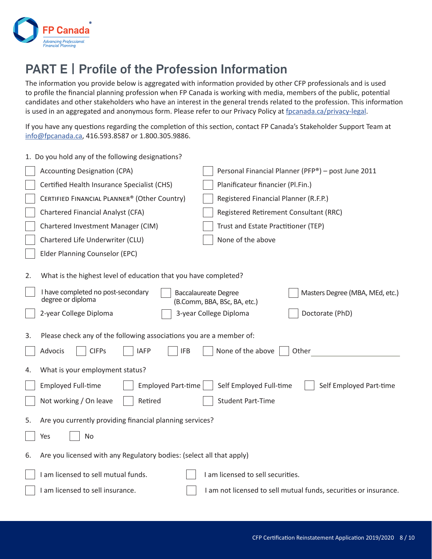

# PART E | Profile of the Profession Information

The information you provide below is aggregated with information provided by other CFP professionals and is used to profile the financial planning profession when FP Canada is working with media, members of the public, potential candidates and other stakeholders who have an interest in the general trends related to the profession. This information is used in an aggregated and anonymous form. Please refer to our Privacy Policy at fpcanada.ca/privacy-legal.

If you have any questions regarding the completion of this section, contact FP Canada's Stakeholder Support Team at info@fpcanada.ca, 416.593.8587 or 1.800.305.9886.

|    | 1. Do you hold any of the following designations?                                                                           |                                                                                                |
|----|-----------------------------------------------------------------------------------------------------------------------------|------------------------------------------------------------------------------------------------|
|    | <b>Accounting Designation (CPA)</b>                                                                                         | Personal Financial Planner (PFP®) - post June 2011                                             |
|    | Certified Health Insurance Specialist (CHS)                                                                                 | Planificateur financier (Pl.Fin.)                                                              |
|    | CERTIFIED FINANCIAL PLANNER® (Other Country)                                                                                | Registered Financial Planner (R.F.P.)                                                          |
|    | Chartered Financial Analyst (CFA)                                                                                           | Registered Retirement Consultant (RRC)                                                         |
|    | Chartered Investment Manager (CIM)                                                                                          | Trust and Estate Practitioner (TEP)                                                            |
|    | Chartered Life Underwriter (CLU)                                                                                            | None of the above                                                                              |
|    | Elder Planning Counselor (EPC)                                                                                              |                                                                                                |
| 2. | What is the highest level of education that you have completed?                                                             |                                                                                                |
|    | I have completed no post-secondary<br>degree or diploma                                                                     | Masters Degree (MBA, MEd, etc.)<br><b>Baccalaureate Degree</b><br>(B.Comm, BBA, BSc, BA, etc.) |
|    | 2-year College Diploma                                                                                                      | 3-year College Diploma<br>Doctorate (PhD)                                                      |
| 3. | Please check any of the following associations you are a member of:<br>Advocis<br><b>CIFPs</b><br><b>IFB</b><br><b>IAFP</b> | None of the above<br>Other                                                                     |
| 4. | What is your employment status?                                                                                             |                                                                                                |
|    | <b>Employed Full-time</b><br><b>Employed Part-time</b>                                                                      | Self Employed Full-time<br>Self Employed Part-time                                             |
|    | Not working / On leave<br>Retired                                                                                           | <b>Student Part-Time</b>                                                                       |
| 5. | Are you currently providing financial planning services?                                                                    |                                                                                                |
|    | <b>No</b><br>Yes                                                                                                            |                                                                                                |
| 6. | Are you licensed with any Regulatory bodies: (select all that apply)                                                        |                                                                                                |
|    | I am licensed to sell mutual funds.                                                                                         | I am licensed to sell securities.                                                              |
|    | I am licensed to sell insurance.                                                                                            | I am not licensed to sell mutual funds, securities or insurance.                               |